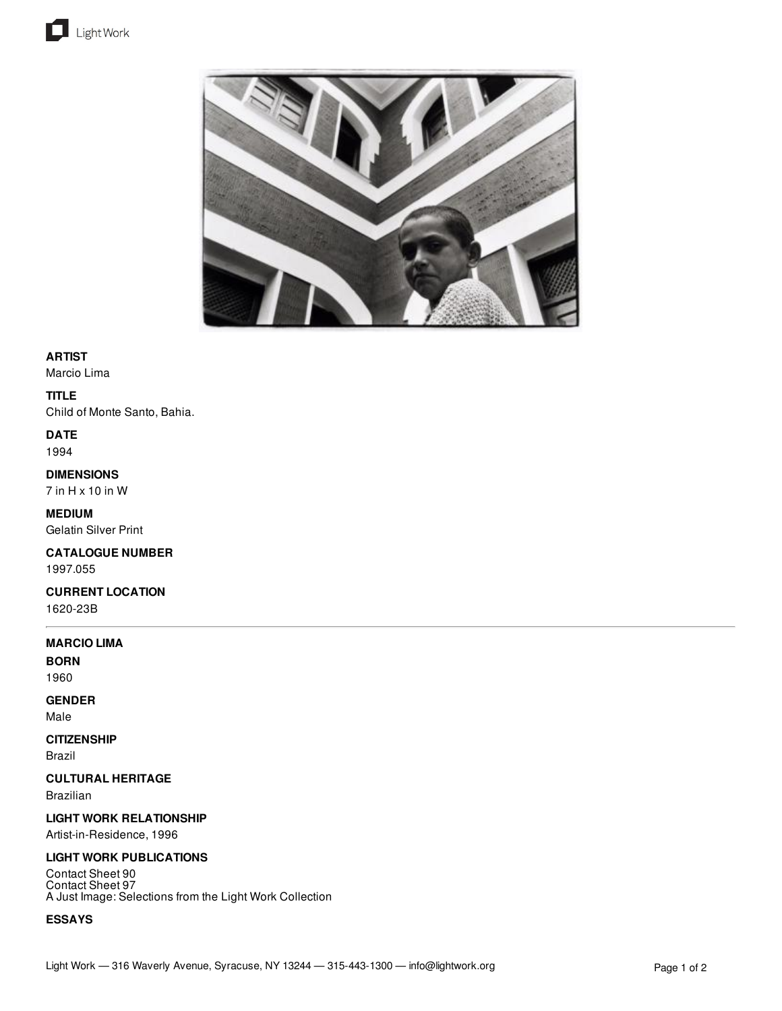



### **ARTIST**

Marcio Lima

### **TITLE**

Child of Monte Santo, Bahia.

**DATE** 1994

# **DIMENSIONS**

7 in H x 10 in W

**MEDIUM** Gelatin Silver Print

**CATALOGUE NUMBER** 1997.055

**CURRENT LOCATION** 1620-23B

#### **MARCIO LIMA**

**BORN** 1960

# **GENDER**

Male

# **CITIZENSHIP**

Brazil

# **CULTURAL HERITAGE**

Brazilian

# **LIGHT WORK RELATIONSHIP**

Artist-in-Residence, 1996

# **LIGHT WORK PUBLICATIONS**

Contact Sheet 90 Contact Sheet 97 A Just Image: Selections from the Light Work Collection

# **ESSAYS**